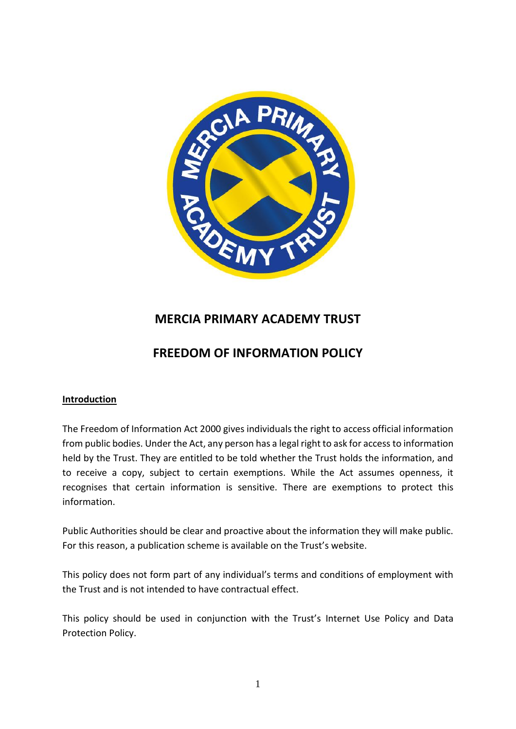

# **MERCIA PRIMARY ACADEMY TRUST**

# **FREEDOM OF INFORMATION POLICY**

#### **Introduction**

The Freedom of Information Act 2000 gives individuals the right to access official information from public bodies. Under the Act, any person has a legal right to ask for access to information held by the Trust. They are entitled to be told whether the Trust holds the information, and to receive a copy, subject to certain exemptions. While the Act assumes openness, it recognises that certain information is sensitive. There are exemptions to protect this information.

Public Authorities should be clear and proactive about the information they will make public. For this reason, a publication scheme is available on the Trust's website.

This policy does not form part of any individual's terms and conditions of employment with the Trust and is not intended to have contractual effect.

This policy should be used in conjunction with the Trust's Internet Use Policy and Data Protection Policy.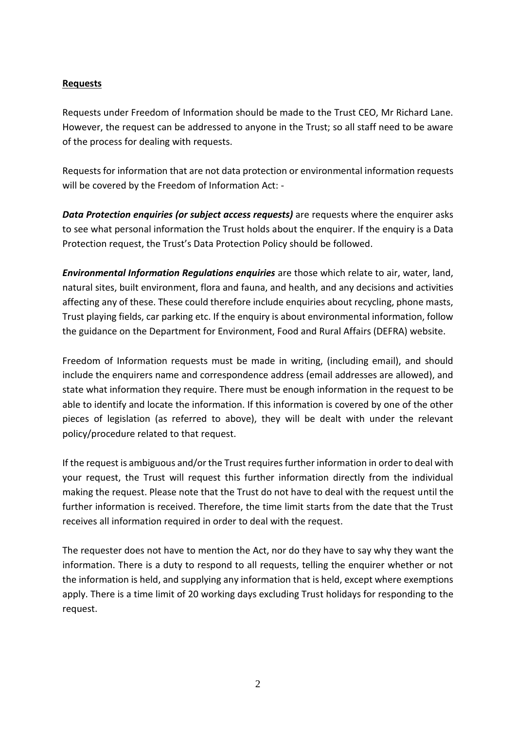#### **Requests**

Requests under Freedom of Information should be made to the Trust CEO, Mr Richard Lane. However, the request can be addressed to anyone in the Trust; so all staff need to be aware of the process for dealing with requests.

Requests for information that are not data protection or environmental information requests will be covered by the Freedom of Information Act: -

*Data Protection enquiries (or subject access requests)* are requests where the enquirer asks to see what personal information the Trust holds about the enquirer. If the enquiry is a Data Protection request, the Trust's Data Protection Policy should be followed.

*Environmental Information Regulations enquiries* are those which relate to air, water, land, natural sites, built environment, flora and fauna, and health, and any decisions and activities affecting any of these. These could therefore include enquiries about recycling, phone masts, Trust playing fields, car parking etc. If the enquiry is about environmental information, follow the guidance on the Department for Environment, Food and Rural Affairs (DEFRA) website.

Freedom of Information requests must be made in writing, (including email), and should include the enquirers name and correspondence address (email addresses are allowed), and state what information they require. There must be enough information in the request to be able to identify and locate the information. If this information is covered by one of the other pieces of legislation (as referred to above), they will be dealt with under the relevant policy/procedure related to that request.

If the request is ambiguous and/or the Trust requires further information in order to deal with your request, the Trust will request this further information directly from the individual making the request. Please note that the Trust do not have to deal with the request until the further information is received. Therefore, the time limit starts from the date that the Trust receives all information required in order to deal with the request.

The requester does not have to mention the Act, nor do they have to say why they want the information. There is a duty to respond to all requests, telling the enquirer whether or not the information is held, and supplying any information that is held, except where exemptions apply. There is a time limit of 20 working days excluding Trust holidays for responding to the request.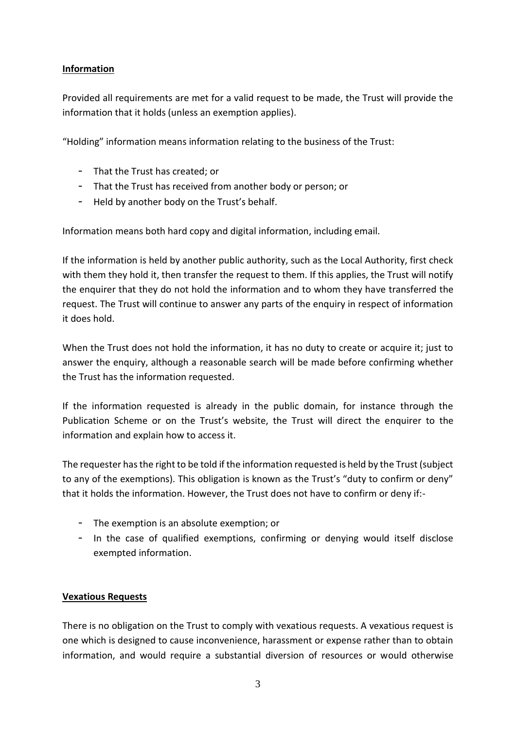## **Information**

Provided all requirements are met for a valid request to be made, the Trust will provide the information that it holds (unless an exemption applies).

"Holding" information means information relating to the business of the Trust:

- That the Trust has created; or
- That the Trust has received from another body or person; or
- Held by another body on the Trust's behalf.

Information means both hard copy and digital information, including email.

If the information is held by another public authority, such as the Local Authority, first check with them they hold it, then transfer the request to them. If this applies, the Trust will notify the enquirer that they do not hold the information and to whom they have transferred the request. The Trust will continue to answer any parts of the enquiry in respect of information it does hold.

When the Trust does not hold the information, it has no duty to create or acquire it; just to answer the enquiry, although a reasonable search will be made before confirming whether the Trust has the information requested.

If the information requested is already in the public domain, for instance through the Publication Scheme or on the Trust's website, the Trust will direct the enquirer to the information and explain how to access it.

The requester has the right to be told if the information requested is held by the Trust (subject to any of the exemptions). This obligation is known as the Trust's "duty to confirm or deny" that it holds the information. However, the Trust does not have to confirm or deny if:-

- The exemption is an absolute exemption; or
- In the case of qualified exemptions, confirming or denying would itself disclose exempted information.

#### **Vexatious Requests**

There is no obligation on the Trust to comply with vexatious requests. A vexatious request is one which is designed to cause inconvenience, harassment or expense rather than to obtain information, and would require a substantial diversion of resources or would otherwise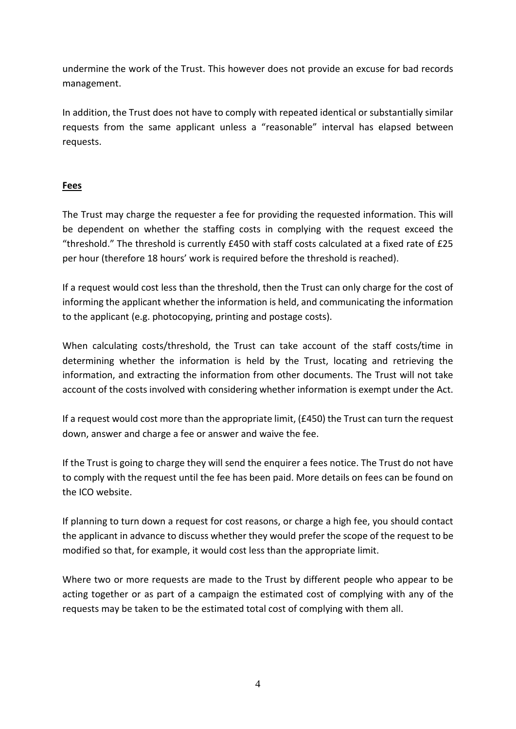undermine the work of the Trust. This however does not provide an excuse for bad records management.

In addition, the Trust does not have to comply with repeated identical or substantially similar requests from the same applicant unless a "reasonable" interval has elapsed between requests.

#### **Fees**

The Trust may charge the requester a fee for providing the requested information. This will be dependent on whether the staffing costs in complying with the request exceed the "threshold." The threshold is currently £450 with staff costs calculated at a fixed rate of £25 per hour (therefore 18 hours' work is required before the threshold is reached).

If a request would cost less than the threshold, then the Trust can only charge for the cost of informing the applicant whether the information is held, and communicating the information to the applicant (e.g. photocopying, printing and postage costs).

When calculating costs/threshold, the Trust can take account of the staff costs/time in determining whether the information is held by the Trust, locating and retrieving the information, and extracting the information from other documents. The Trust will not take account of the costs involved with considering whether information is exempt under the Act.

If a request would cost more than the appropriate limit, (£450) the Trust can turn the request down, answer and charge a fee or answer and waive the fee.

If the Trust is going to charge they will send the enquirer a fees notice. The Trust do not have to comply with the request until the fee has been paid. More details on fees can be found on the ICO website.

If planning to turn down a request for cost reasons, or charge a high fee, you should contact the applicant in advance to discuss whether they would prefer the scope of the request to be modified so that, for example, it would cost less than the appropriate limit.

Where two or more requests are made to the Trust by different people who appear to be acting together or as part of a campaign the estimated cost of complying with any of the requests may be taken to be the estimated total cost of complying with them all.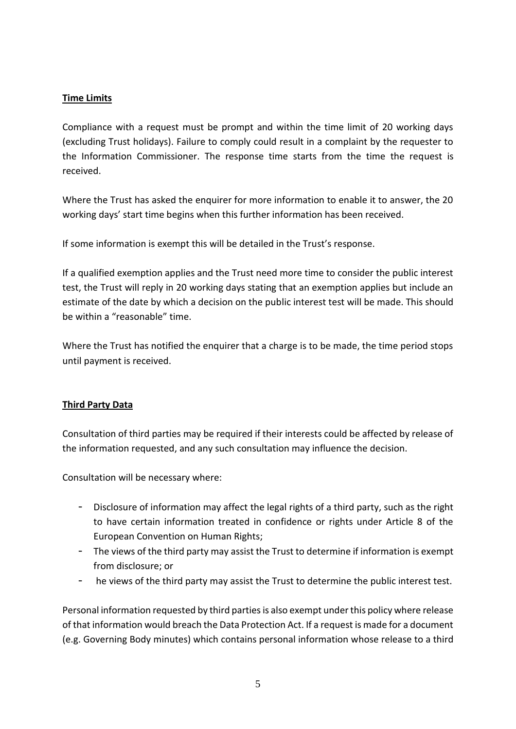### **Time Limits**

Compliance with a request must be prompt and within the time limit of 20 working days (excluding Trust holidays). Failure to comply could result in a complaint by the requester to the Information Commissioner. The response time starts from the time the request is received.

Where the Trust has asked the enquirer for more information to enable it to answer, the 20 working days' start time begins when this further information has been received.

If some information is exempt this will be detailed in the Trust's response.

If a qualified exemption applies and the Trust need more time to consider the public interest test, the Trust will reply in 20 working days stating that an exemption applies but include an estimate of the date by which a decision on the public interest test will be made. This should be within a "reasonable" time.

Where the Trust has notified the enquirer that a charge is to be made, the time period stops until payment is received.

#### **Third Party Data**

Consultation of third parties may be required if their interests could be affected by release of the information requested, and any such consultation may influence the decision.

Consultation will be necessary where:

- Disclosure of information may affect the legal rights of a third party, such as the right to have certain information treated in confidence or rights under Article 8 of the European Convention on Human Rights;
- The views of the third party may assist the Trust to determine if information is exempt from disclosure; or
- he views of the third party may assist the Trust to determine the public interest test.

Personal information requested by third parties is also exempt under this policy where release of that information would breach the Data Protection Act. If a request is made for a document (e.g. Governing Body minutes) which contains personal information whose release to a third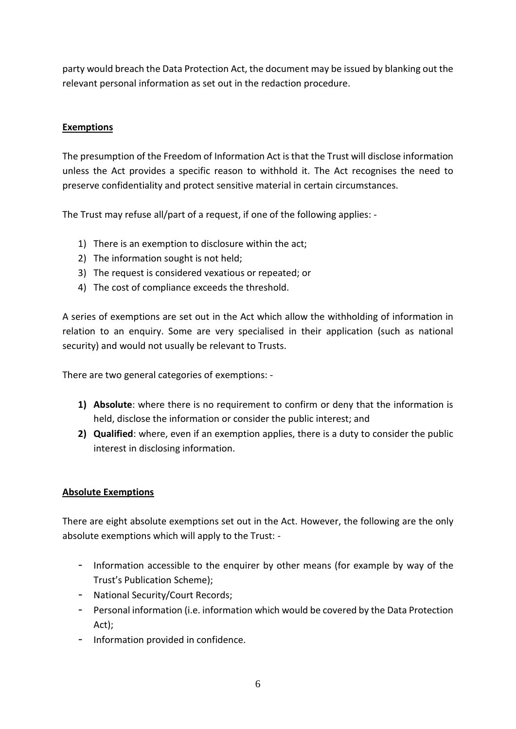party would breach the Data Protection Act, the document may be issued by blanking out the relevant personal information as set out in the redaction procedure.

## **Exemptions**

The presumption of the Freedom of Information Act is that the Trust will disclose information unless the Act provides a specific reason to withhold it. The Act recognises the need to preserve confidentiality and protect sensitive material in certain circumstances.

The Trust may refuse all/part of a request, if one of the following applies: -

- 1) There is an exemption to disclosure within the act;
- 2) The information sought is not held;
- 3) The request is considered vexatious or repeated; or
- 4) The cost of compliance exceeds the threshold.

A series of exemptions are set out in the Act which allow the withholding of information in relation to an enquiry. Some are very specialised in their application (such as national security) and would not usually be relevant to Trusts.

There are two general categories of exemptions: -

- **1) Absolute**: where there is no requirement to confirm or deny that the information is held, disclose the information or consider the public interest; and
- **2) Qualified**: where, even if an exemption applies, there is a duty to consider the public interest in disclosing information.

#### **Absolute Exemptions**

There are eight absolute exemptions set out in the Act. However, the following are the only absolute exemptions which will apply to the Trust: -

- Information accessible to the enquirer by other means (for example by way of the Trust's Publication Scheme);
- National Security/Court Records;
- Personal information (i.e. information which would be covered by the Data Protection Act);
- Information provided in confidence.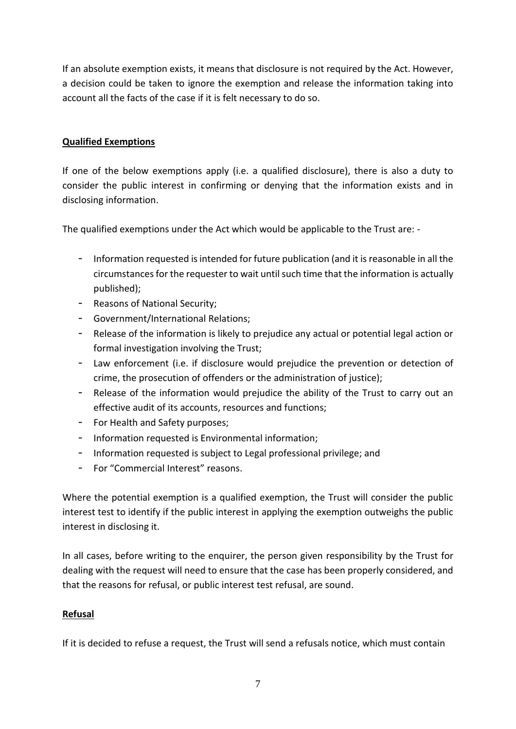If an absolute exemption exists, it means that disclosure is not required by the Act. However, a decision could be taken to ignore the exemption and release the information taking into account all the facts of the case if it is felt necessary to do so.

## **Qualified Exemptions**

If one of the below exemptions apply (i.e. a qualified disclosure), there is also a duty to consider the public interest in confirming or denying that the information exists and in disclosing information.

The qualified exemptions under the Act which would be applicable to the Trust are: -

- Information requested is intended for future publication (and it is reasonable in all the circumstances for the requester to wait until such time that the information is actually published);
- Reasons of National Security;
- Government/International Relations;
- Release of the information is likely to prejudice any actual or potential legal action or formal investigation involving the Trust;
- Law enforcement (i.e. if disclosure would prejudice the prevention or detection of crime, the prosecution of offenders or the administration of justice);
- Release of the information would prejudice the ability of the Trust to carry out an effective audit of its accounts, resources and functions;
- For Health and Safety purposes;
- Information requested is Environmental information;
- Information requested is subject to Legal professional privilege; and
- For "Commercial Interest" reasons.

Where the potential exemption is a qualified exemption, the Trust will consider the public interest test to identify if the public interest in applying the exemption outweighs the public interest in disclosing it.

In all cases, before writing to the enquirer, the person given responsibility by the Trust for dealing with the request will need to ensure that the case has been properly considered, and that the reasons for refusal, or public interest test refusal, are sound.

#### **Refusal**

If it is decided to refuse a request, the Trust will send a refusals notice, which must contain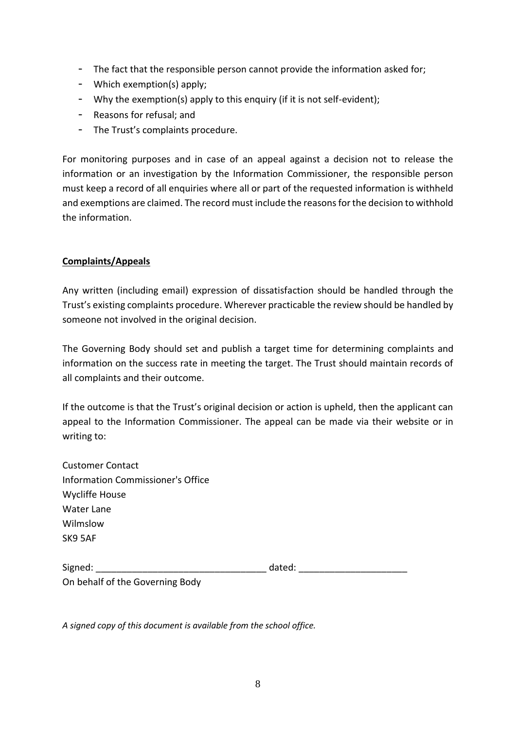- The fact that the responsible person cannot provide the information asked for;
- Which exemption(s) apply;
- Why the exemption(s) apply to this enquiry (if it is not self-evident);
- Reasons for refusal; and
- The Trust's complaints procedure.

For monitoring purposes and in case of an appeal against a decision not to release the information or an investigation by the Information Commissioner, the responsible person must keep a record of all enquiries where all or part of the requested information is withheld and exemptions are claimed. The record must include the reasons for the decision to withhold the information.

#### **Complaints/Appeals**

Any written (including email) expression of dissatisfaction should be handled through the Trust's existing complaints procedure. Wherever practicable the review should be handled by someone not involved in the original decision.

The Governing Body should set and publish a target time for determining complaints and information on the success rate in meeting the target. The Trust should maintain records of all complaints and their outcome.

If the outcome is that the Trust's original decision or action is upheld, then the applicant can appeal to the Information Commissioner. The appeal can be made via their website or in writing to:

| <b>Customer Contact</b>           |
|-----------------------------------|
| Information Commissioner's Office |
| <b>Wycliffe House</b>             |
| Water Lane                        |
| Wilmslow                          |
| SK9 5AF                           |
|                                   |
|                                   |

| Signed:                         | dated: |  |
|---------------------------------|--------|--|
| On behalf of the Governing Body |        |  |

*A signed copy of this document is available from the school office.*